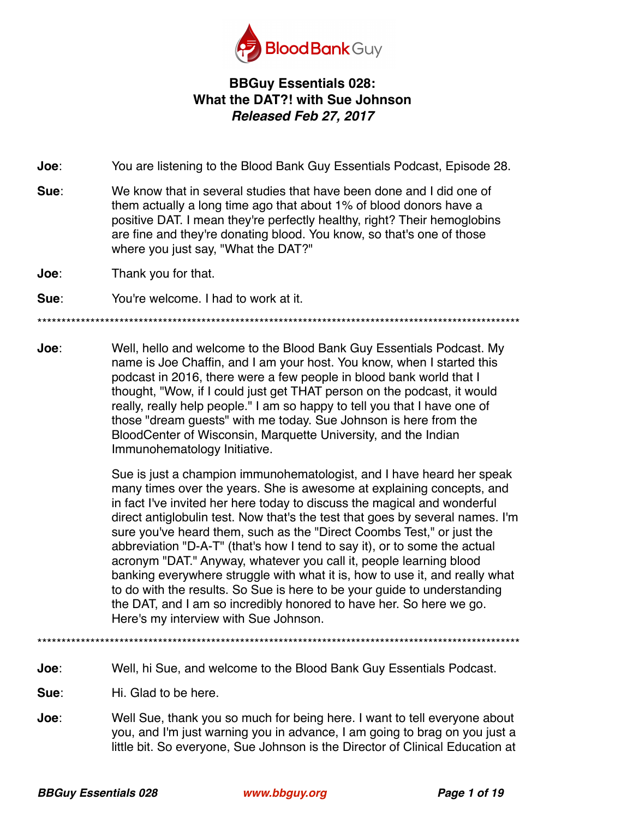

## **BBGuy Essentials 028: What the DAT?! with Sue Johnson**  *Released Feb 27, 2017*

**Joe**: You are listening to the Blood Bank Guy Essentials Podcast, Episode 28.

- **Sue**: We know that in several studies that have been done and I did one of them actually a long time ago that about 1% of blood donors have a positive DAT. I mean they're perfectly healthy, right? Their hemoglobins are fine and they're donating blood. You know, so that's one of those where you just say, "What the DAT?"
- **Joe**: Thank you for that.

**Sue**: You're welcome. I had to work at it.

\*\*\*\*\*\*\*\*\*\*\*\*\*\*\*\*\*\*\*\*\*\*\*\*\*\*\*\*\*\*\*\*\*\*\*\*\*\*\*\*\*\*\*\*\*\*\*\*\*\*\*\*\*\*\*\*\*\*\*\*\*\*\*\*\*\*\*\*\*\*\*\*\*\*\*\*\*\*\*\*\*\*\*\*\*\*\*\*\*\*\*\*\*\*\*\*\*\*\*\*

**Joe**: Well, hello and welcome to the Blood Bank Guy Essentials Podcast. My name is Joe Chaffin, and I am your host. You know, when I started this podcast in 2016, there were a few people in blood bank world that I thought, "Wow, if I could just get THAT person on the podcast, it would really, really help people." I am so happy to tell you that I have one of those "dream guests" with me today. Sue Johnson is here from the BloodCenter of Wisconsin, Marquette University, and the Indian Immunohematology Initiative.

> Sue is just a champion immunohematologist, and I have heard her speak many times over the years. She is awesome at explaining concepts, and in fact I've invited her here today to discuss the magical and wonderful direct antiglobulin test. Now that's the test that goes by several names. I'm sure you've heard them, such as the "Direct Coombs Test," or just the abbreviation "D-A-T" (that's how I tend to say it), or to some the actual acronym "DAT." Anyway, whatever you call it, people learning blood banking everywhere struggle with what it is, how to use it, and really what to do with the results. So Sue is here to be your guide to understanding the DAT, and I am so incredibly honored to have her. So here we go. Here's my interview with Sue Johnson.

\*\*\*\*\*\*\*\*\*\*\*\*\*\*\*\*\*\*\*\*\*\*\*\*\*\*\*\*\*\*\*\*\*\*\*\*\*\*\*\*\*\*\*\*\*\*\*\*\*\*\*\*\*\*\*\*\*\*\*\*\*\*\*\*\*\*\*\*\*\*\*\*\*\*\*\*\*\*\*\*\*\*\*\*\*\*\*\*\*\*\*\*\*\*\*\*\*\*\*\*

**Joe**: Well, hi Sue, and welcome to the Blood Bank Guy Essentials Podcast.

**Sue:** Hi. Glad to be here.

**Joe**: Well Sue, thank you so much for being here. I want to tell everyone about you, and I'm just warning you in advance, I am going to brag on you just a little bit. So everyone, Sue Johnson is the Director of Clinical Education at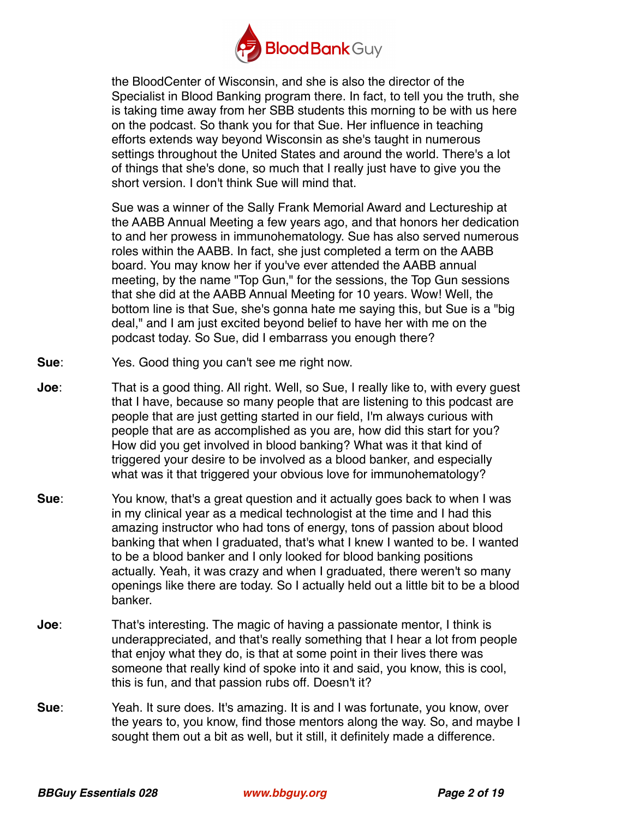

the BloodCenter of Wisconsin, and she is also the director of the Specialist in Blood Banking program there. In fact, to tell you the truth, she is taking time away from her SBB students this morning to be with us here on the podcast. So thank you for that Sue. Her influence in teaching efforts extends way beyond Wisconsin as she's taught in numerous settings throughout the United States and around the world. There's a lot of things that she's done, so much that I really just have to give you the short version. I don't think Sue will mind that.

Sue was a winner of the Sally Frank Memorial Award and Lectureship at the AABB Annual Meeting a few years ago, and that honors her dedication to and her prowess in immunohematology. Sue has also served numerous roles within the AABB. In fact, she just completed a term on the AABB board. You may know her if you've ever attended the AABB annual meeting, by the name "Top Gun," for the sessions, the Top Gun sessions that she did at the AABB Annual Meeting for 10 years. Wow! Well, the bottom line is that Sue, she's gonna hate me saying this, but Sue is a "big deal," and I am just excited beyond belief to have her with me on the podcast today. So Sue, did I embarrass you enough there?

- **Sue**: Yes. Good thing you can't see me right now.
- **Joe**: That is a good thing. All right. Well, so Sue, I really like to, with every guest that I have, because so many people that are listening to this podcast are people that are just getting started in our field, I'm always curious with people that are as accomplished as you are, how did this start for you? How did you get involved in blood banking? What was it that kind of triggered your desire to be involved as a blood banker, and especially what was it that triggered your obvious love for immunohematology?
- **Sue**: You know, that's a great question and it actually goes back to when I was in my clinical year as a medical technologist at the time and I had this amazing instructor who had tons of energy, tons of passion about blood banking that when I graduated, that's what I knew I wanted to be. I wanted to be a blood banker and I only looked for blood banking positions actually. Yeah, it was crazy and when I graduated, there weren't so many openings like there are today. So I actually held out a little bit to be a blood banker.
- **Joe**: That's interesting. The magic of having a passionate mentor, I think is underappreciated, and that's really something that I hear a lot from people that enjoy what they do, is that at some point in their lives there was someone that really kind of spoke into it and said, you know, this is cool, this is fun, and that passion rubs off. Doesn't it?
- **Sue**: Yeah. It sure does. It's amazing. It is and I was fortunate, you know, over the years to, you know, find those mentors along the way. So, and maybe I sought them out a bit as well, but it still, it definitely made a difference.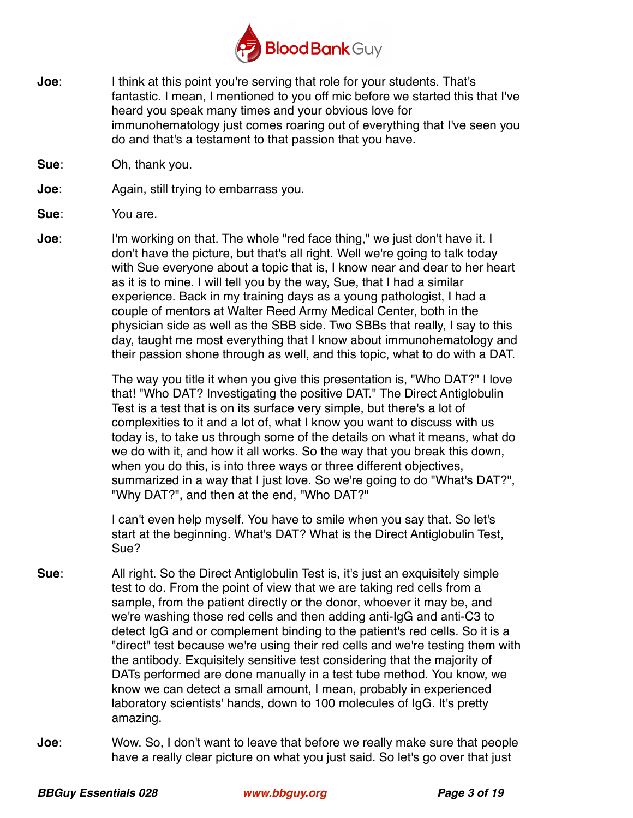

- **Joe**: I think at this point you're serving that role for your students. That's fantastic. I mean, I mentioned to you off mic before we started this that I've heard you speak many times and your obvious love for immunohematology just comes roaring out of everything that I've seen you do and that's a testament to that passion that you have.
- **Sue**: Oh, thank you.
- **Joe**: Again, still trying to embarrass you.
- **Sue**: You are.
- **Joe**: I'm working on that. The whole "red face thing," we just don't have it. I don't have the picture, but that's all right. Well we're going to talk today with Sue everyone about a topic that is, I know near and dear to her heart as it is to mine. I will tell you by the way, Sue, that I had a similar experience. Back in my training days as a young pathologist, I had a couple of mentors at Walter Reed Army Medical Center, both in the physician side as well as the SBB side. Two SBBs that really, I say to this day, taught me most everything that I know about immunohematology and their passion shone through as well, and this topic, what to do with a DAT.

The way you title it when you give this presentation is, "Who DAT?" I love that! "Who DAT? Investigating the positive DAT." The Direct Antiglobulin Test is a test that is on its surface very simple, but there's a lot of complexities to it and a lot of, what I know you want to discuss with us today is, to take us through some of the details on what it means, what do we do with it, and how it all works. So the way that you break this down, when you do this, is into three ways or three different objectives, summarized in a way that I just love. So we're going to do "What's DAT?", "Why DAT?", and then at the end, "Who DAT?"

 I can't even help myself. You have to smile when you say that. So let's start at the beginning. What's DAT? What is the Direct Antiglobulin Test, Sue?

- **Sue**: All right. So the Direct Antiglobulin Test is, it's just an exquisitely simple test to do. From the point of view that we are taking red cells from a sample, from the patient directly or the donor, whoever it may be, and we're washing those red cells and then adding anti-IgG and anti-C3 to detect IgG and or complement binding to the patient's red cells. So it is a "direct" test because we're using their red cells and we're testing them with the antibody. Exquisitely sensitive test considering that the majority of DATs performed are done manually in a test tube method. You know, we know we can detect a small amount, I mean, probably in experienced laboratory scientists' hands, down to 100 molecules of IgG. It's pretty amazing.
- **Joe**: Wow. So, I don't want to leave that before we really make sure that people have a really clear picture on what you just said. So let's go over that just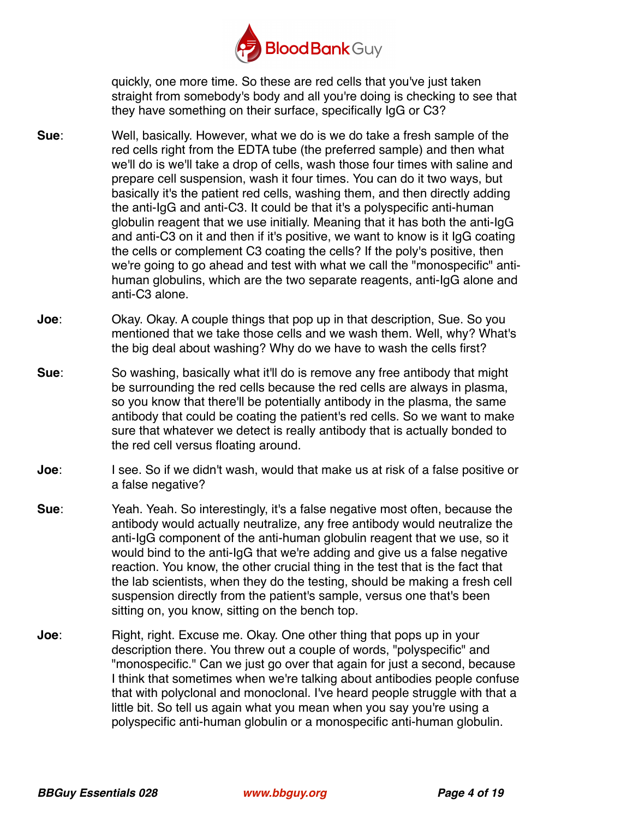

quickly, one more time. So these are red cells that you've just taken straight from somebody's body and all you're doing is checking to see that they have something on their surface, specifically IgG or C3?

- **Sue**: Well, basically. However, what we do is we do take a fresh sample of the red cells right from the EDTA tube (the preferred sample) and then what we'll do is we'll take a drop of cells, wash those four times with saline and prepare cell suspension, wash it four times. You can do it two ways, but basically it's the patient red cells, washing them, and then directly adding the anti-IgG and anti-C3. It could be that it's a polyspecific anti-human globulin reagent that we use initially. Meaning that it has both the anti-IgG and anti-C3 on it and then if it's positive, we want to know is it IgG coating the cells or complement C3 coating the cells? If the poly's positive, then we're going to go ahead and test with what we call the "monospecific" antihuman globulins, which are the two separate reagents, anti-IgG alone and anti-C3 alone.
- **Joe**: Okay. Okay. A couple things that pop up in that description, Sue. So you mentioned that we take those cells and we wash them. Well, why? What's the big deal about washing? Why do we have to wash the cells first?
- **Sue**: So washing, basically what it'll do is remove any free antibody that might be surrounding the red cells because the red cells are always in plasma, so you know that there'll be potentially antibody in the plasma, the same antibody that could be coating the patient's red cells. So we want to make sure that whatever we detect is really antibody that is actually bonded to the red cell versus floating around.
- **Joe**: I see. So if we didn't wash, would that make us at risk of a false positive or a false negative?
- **Sue**: Yeah. Yeah. So interestingly, it's a false negative most often, because the antibody would actually neutralize, any free antibody would neutralize the anti-IgG component of the anti-human globulin reagent that we use, so it would bind to the anti-IgG that we're adding and give us a false negative reaction. You know, the other crucial thing in the test that is the fact that the lab scientists, when they do the testing, should be making a fresh cell suspension directly from the patient's sample, versus one that's been sitting on, you know, sitting on the bench top.
- **Joe**: Right, right. Excuse me. Okay. One other thing that pops up in your description there. You threw out a couple of words, "polyspecific" and "monospecific." Can we just go over that again for just a second, because I think that sometimes when we're talking about antibodies people confuse that with polyclonal and monoclonal. I've heard people struggle with that a little bit. So tell us again what you mean when you say you're using a polyspecific anti-human globulin or a monospecific anti-human globulin.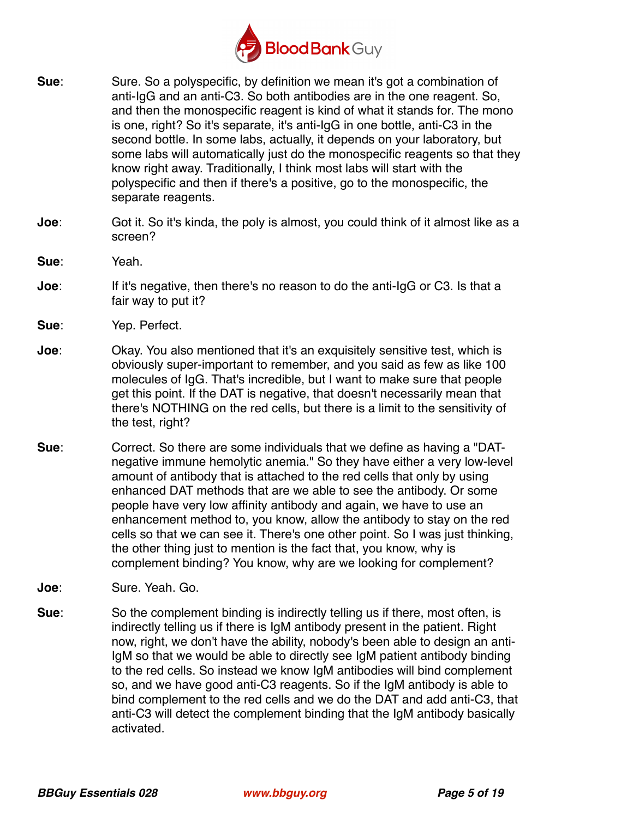

- **Sue**: Sure. So a polyspecific, by definition we mean it's got a combination of anti-IgG and an anti-C3. So both antibodies are in the one reagent. So, and then the monospecific reagent is kind of what it stands for. The mono is one, right? So it's separate, it's anti-IgG in one bottle, anti-C3 in the second bottle. In some labs, actually, it depends on your laboratory, but some labs will automatically just do the monospecific reagents so that they know right away. Traditionally, I think most labs will start with the polyspecific and then if there's a positive, go to the monospecific, the separate reagents.
- **Joe**: Got it. So it's kinda, the poly is almost, you could think of it almost like as a screen?
- **Sue**: Yeah.
- **Joe**: If it's negative, then there's no reason to do the anti-IgG or C3. Is that a fair way to put it?
- **Sue**: Yep. Perfect.
- **Joe**: Okay. You also mentioned that it's an exquisitely sensitive test, which is obviously super-important to remember, and you said as few as like 100 molecules of IgG. That's incredible, but I want to make sure that people get this point. If the DAT is negative, that doesn't necessarily mean that there's NOTHING on the red cells, but there is a limit to the sensitivity of the test, right?
- **Sue**: Correct. So there are some individuals that we define as having a "DATnegative immune hemolytic anemia." So they have either a very low-level amount of antibody that is attached to the red cells that only by using enhanced DAT methods that are we able to see the antibody. Or some people have very low affinity antibody and again, we have to use an enhancement method to, you know, allow the antibody to stay on the red cells so that we can see it. There's one other point. So I was just thinking, the other thing just to mention is the fact that, you know, why is complement binding? You know, why are we looking for complement?
- **Joe**: Sure. Yeah. Go.
- **Sue**: So the complement binding is indirectly telling us if there, most often, is indirectly telling us if there is IgM antibody present in the patient. Right now, right, we don't have the ability, nobody's been able to design an anti-IgM so that we would be able to directly see IgM patient antibody binding to the red cells. So instead we know IgM antibodies will bind complement so, and we have good anti-C3 reagents. So if the IgM antibody is able to bind complement to the red cells and we do the DAT and add anti-C3, that anti-C3 will detect the complement binding that the IgM antibody basically activated.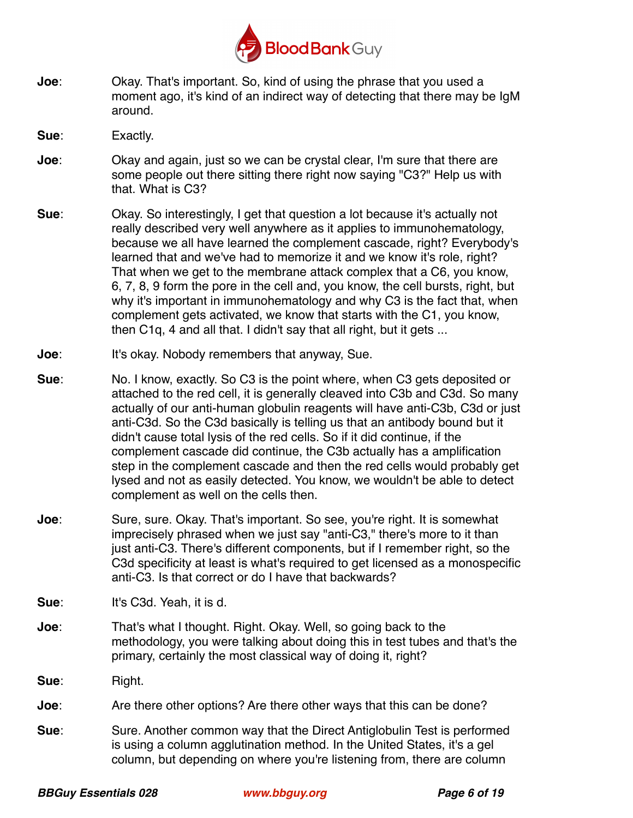

**Joe**: Okay. That's important. So, kind of using the phrase that you used a moment ago, it's kind of an indirect way of detecting that there may be IgM around.

**Sue**: Exactly.

- **Joe**: Okay and again, just so we can be crystal clear, I'm sure that there are some people out there sitting there right now saying "C3?" Help us with that. What is C3?
- **Sue**: Okay. So interestingly, I get that question a lot because it's actually not really described very well anywhere as it applies to immunohematology, because we all have learned the complement cascade, right? Everybody's learned that and we've had to memorize it and we know it's role, right? That when we get to the membrane attack complex that a C6, you know, 6, 7, 8, 9 form the pore in the cell and, you know, the cell bursts, right, but why it's important in immunohematology and why C3 is the fact that, when complement gets activated, we know that starts with the C1, you know, then C1q, 4 and all that. I didn't say that all right, but it gets ...
- **Joe**: It's okay. Nobody remembers that anyway, Sue.
- **Sue**: No. I know, exactly. So C3 is the point where, when C3 gets deposited or attached to the red cell, it is generally cleaved into C3b and C3d. So many actually of our anti-human globulin reagents will have anti-C3b, C3d or just anti-C3d. So the C3d basically is telling us that an antibody bound but it didn't cause total lysis of the red cells. So if it did continue, if the complement cascade did continue, the C3b actually has a amplification step in the complement cascade and then the red cells would probably get lysed and not as easily detected. You know, we wouldn't be able to detect complement as well on the cells then.
- **Joe**: Sure, sure. Okay. That's important. So see, you're right. It is somewhat imprecisely phrased when we just say "anti-C3," there's more to it than just anti-C3. There's different components, but if I remember right, so the C3d specificity at least is what's required to get licensed as a monospecific anti-C3. Is that correct or do I have that backwards?
- **Sue:** It's C3d. Yeah, it is d.
- **Joe**: That's what I thought. Right. Okay. Well, so going back to the methodology, you were talking about doing this in test tubes and that's the primary, certainly the most classical way of doing it, right?
- **Sue:** Right.

**Joe**: Are there other options? Are there other ways that this can be done?

**Sue**: Sure. Another common way that the Direct Antiglobulin Test is performed is using a column agglutination method. In the United States, it's a gel column, but depending on where you're listening from, there are column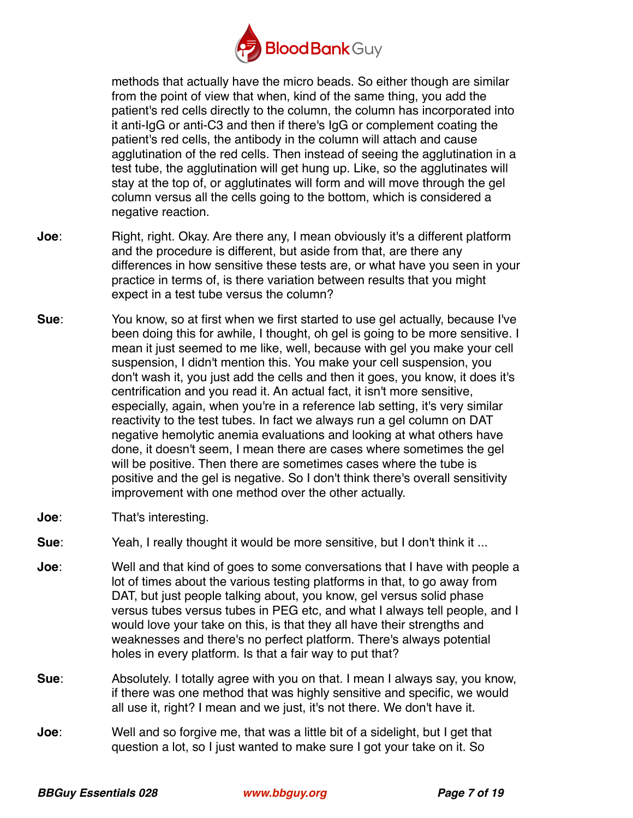

methods that actually have the micro beads. So either though are similar from the point of view that when, kind of the same thing, you add the patient's red cells directly to the column, the column has incorporated into it anti-IgG or anti-C3 and then if there's IgG or complement coating the patient's red cells, the antibody in the column will attach and cause agglutination of the red cells. Then instead of seeing the agglutination in a test tube, the agglutination will get hung up. Like, so the agglutinates will stay at the top of, or agglutinates will form and will move through the gel column versus all the cells going to the bottom, which is considered a negative reaction.

- **Joe**: Right, right. Okay. Are there any, I mean obviously it's a different platform and the procedure is different, but aside from that, are there any differences in how sensitive these tests are, or what have you seen in your practice in terms of, is there variation between results that you might expect in a test tube versus the column?
- **Sue**: You know, so at first when we first started to use gel actually, because I've been doing this for awhile, I thought, oh gel is going to be more sensitive. I mean it just seemed to me like, well, because with gel you make your cell suspension, I didn't mention this. You make your cell suspension, you don't wash it, you just add the cells and then it goes, you know, it does it's centrification and you read it. An actual fact, it isn't more sensitive, especially, again, when you're in a reference lab setting, it's very similar reactivity to the test tubes. In fact we always run a gel column on DAT negative hemolytic anemia evaluations and looking at what others have done, it doesn't seem, I mean there are cases where sometimes the gel will be positive. Then there are sometimes cases where the tube is positive and the gel is negative. So I don't think there's overall sensitivity improvement with one method over the other actually.
- **Joe**: That's interesting.
- **Sue**: Yeah, I really thought it would be more sensitive, but I don't think it ...
- **Joe**: Well and that kind of goes to some conversations that I have with people a lot of times about the various testing platforms in that, to go away from DAT, but just people talking about, you know, gel versus solid phase versus tubes versus tubes in PEG etc, and what I always tell people, and I would love your take on this, is that they all have their strengths and weaknesses and there's no perfect platform. There's always potential holes in every platform. Is that a fair way to put that?
- **Sue**: Absolutely. I totally agree with you on that. I mean I always say, you know, if there was one method that was highly sensitive and specific, we would all use it, right? I mean and we just, it's not there. We don't have it.
- **Joe**: Well and so forgive me, that was a little bit of a sidelight, but I get that question a lot, so I just wanted to make sure I got your take on it. So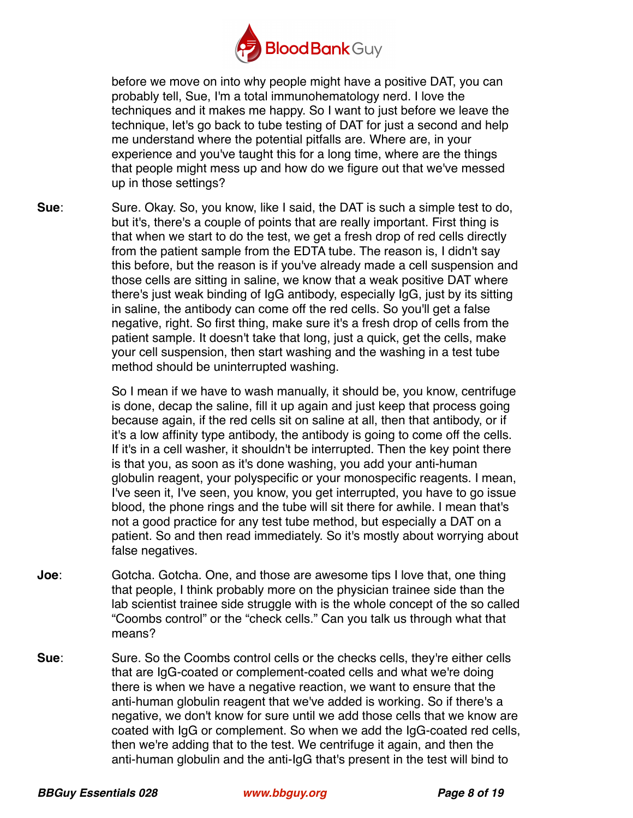

before we move on into why people might have a positive DAT, you can probably tell, Sue, I'm a total immunohematology nerd. I love the techniques and it makes me happy. So I want to just before we leave the technique, let's go back to tube testing of DAT for just a second and help me understand where the potential pitfalls are. Where are, in your experience and you've taught this for a long time, where are the things that people might mess up and how do we figure out that we've messed up in those settings?

**Sue**: Sure. Okay. So, you know, like I said, the DAT is such a simple test to do, but it's, there's a couple of points that are really important. First thing is that when we start to do the test, we get a fresh drop of red cells directly from the patient sample from the EDTA tube. The reason is, I didn't say this before, but the reason is if you've already made a cell suspension and those cells are sitting in saline, we know that a weak positive DAT where there's just weak binding of IgG antibody, especially IgG, just by its sitting in saline, the antibody can come off the red cells. So you'll get a false negative, right. So first thing, make sure it's a fresh drop of cells from the patient sample. It doesn't take that long, just a quick, get the cells, make your cell suspension, then start washing and the washing in a test tube method should be uninterrupted washing.

> So I mean if we have to wash manually, it should be, you know, centrifuge is done, decap the saline, fill it up again and just keep that process going because again, if the red cells sit on saline at all, then that antibody, or if it's a low affinity type antibody, the antibody is going to come off the cells. If it's in a cell washer, it shouldn't be interrupted. Then the key point there is that you, as soon as it's done washing, you add your anti-human globulin reagent, your polyspecific or your monospecific reagents. I mean, I've seen it, I've seen, you know, you get interrupted, you have to go issue blood, the phone rings and the tube will sit there for awhile. I mean that's not a good practice for any test tube method, but especially a DAT on a patient. So and then read immediately. So it's mostly about worrying about false negatives.

- **Joe**: Gotcha. Gotcha. One, and those are awesome tips I love that, one thing that people, I think probably more on the physician trainee side than the lab scientist trainee side struggle with is the whole concept of the so called "Coombs control" or the "check cells." Can you talk us through what that means?
- **Sue**: Sure. So the Coombs control cells or the checks cells, they're either cells that are IgG-coated or complement-coated cells and what we're doing there is when we have a negative reaction, we want to ensure that the anti-human globulin reagent that we've added is working. So if there's a negative, we don't know for sure until we add those cells that we know are coated with IgG or complement. So when we add the IgG-coated red cells, then we're adding that to the test. We centrifuge it again, and then the anti-human globulin and the anti-IgG that's present in the test will bind to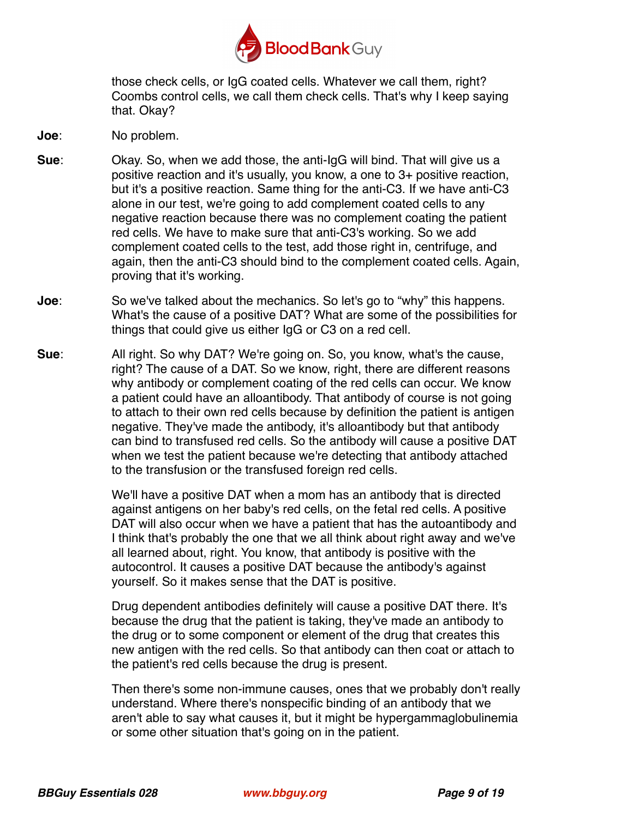

those check cells, or IgG coated cells. Whatever we call them, right? Coombs control cells, we call them check cells. That's why I keep saying that. Okay?

- **Joe**: No problem.
- **Sue**: Okay. So, when we add those, the anti-IgG will bind. That will give us a positive reaction and it's usually, you know, a one to 3+ positive reaction, but it's a positive reaction. Same thing for the anti-C3. If we have anti-C3 alone in our test, we're going to add complement coated cells to any negative reaction because there was no complement coating the patient red cells. We have to make sure that anti-C3's working. So we add complement coated cells to the test, add those right in, centrifuge, and again, then the anti-C3 should bind to the complement coated cells. Again, proving that it's working.
- **Joe**: So we've talked about the mechanics. So let's go to "why" this happens. What's the cause of a positive DAT? What are some of the possibilities for things that could give us either IgG or C3 on a red cell.
- **Sue**: All right. So why DAT? We're going on. So, you know, what's the cause, right? The cause of a DAT. So we know, right, there are different reasons why antibody or complement coating of the red cells can occur. We know a patient could have an alloantibody. That antibody of course is not going to attach to their own red cells because by definition the patient is antigen negative. They've made the antibody, it's alloantibody but that antibody can bind to transfused red cells. So the antibody will cause a positive DAT when we test the patient because we're detecting that antibody attached to the transfusion or the transfused foreign red cells.

We'll have a positive DAT when a mom has an antibody that is directed against antigens on her baby's red cells, on the fetal red cells. A positive DAT will also occur when we have a patient that has the autoantibody and I think that's probably the one that we all think about right away and we've all learned about, right. You know, that antibody is positive with the autocontrol. It causes a positive DAT because the antibody's against yourself. So it makes sense that the DAT is positive.

Drug dependent antibodies definitely will cause a positive DAT there. It's because the drug that the patient is taking, they've made an antibody to the drug or to some component or element of the drug that creates this new antigen with the red cells. So that antibody can then coat or attach to the patient's red cells because the drug is present.

Then there's some non-immune causes, ones that we probably don't really understand. Where there's nonspecific binding of an antibody that we aren't able to say what causes it, but it might be hypergammaglobulinemia or some other situation that's going on in the patient.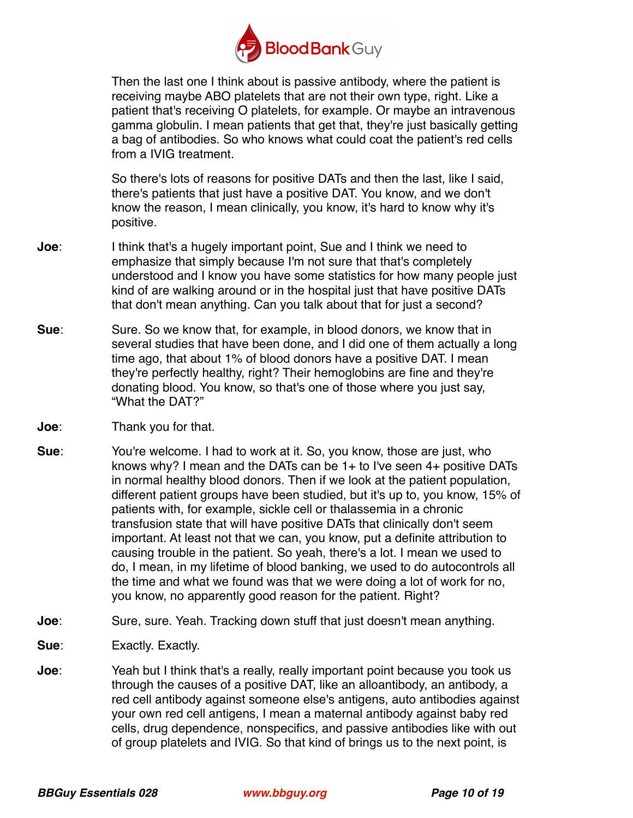

Then the last one I think about is passive antibody, where the patient is receiving maybe ABO platelets that are not their own type, right. Like a patient that's receiving O platelets, for example. Or maybe an intravenous gamma globulin. I mean patients that get that, they're just basically getting a bag of antibodies. So who knows what could coat the patient's red cells from a IVIG treatment.

So there's lots of reasons for positive DATs and then the last, like I said, there's patients that just have a positive DAT. You know, and we don't know the reason, I mean clinically, you know, it's hard to know why it's positive.

- **Joe**: I think that's a hugely important point, Sue and I think we need to emphasize that simply because I'm not sure that that's completely understood and I know you have some statistics for how many people just kind of are walking around or in the hospital just that have positive DATs that don't mean anything. Can you talk about that for just a second?
- **Sue**: Sure. So we know that, for example, in blood donors, we know that in several studies that have been done, and I did one of them actually a long time ago, that about 1% of blood donors have a positive DAT. I mean they're perfectly healthy, right? Their hemoglobins are fine and they're donating blood. You know, so that's one of those where you just say, "What the DAT?"
- **Joe**: Thank you for that.
- **Sue**: You're welcome. I had to work at it. So, you know, those are just, who knows why? I mean and the DATs can be 1+ to I've seen 4+ positive DATs in normal healthy blood donors. Then if we look at the patient population, different patient groups have been studied, but it's up to, you know, 15% of patients with, for example, sickle cell or thalassemia in a chronic transfusion state that will have positive DATs that clinically don't seem important. At least not that we can, you know, put a definite attribution to causing trouble in the patient. So yeah, there's a lot. I mean we used to do, I mean, in my lifetime of blood banking, we used to do autocontrols all the time and what we found was that we were doing a lot of work for no, you know, no apparently good reason for the patient. Right?
- **Joe**: Sure, sure. Yeah. Tracking down stuff that just doesn't mean anything.
- **Sue**: Exactly. Exactly.
- **Joe**: Yeah but I think that's a really, really important point because you took us through the causes of a positive DAT, like an alloantibody, an antibody, a red cell antibody against someone else's antigens, auto antibodies against your own red cell antigens, I mean a maternal antibody against baby red cells, drug dependence, nonspecifics, and passive antibodies like with out of group platelets and IVIG. So that kind of brings us to the next point, is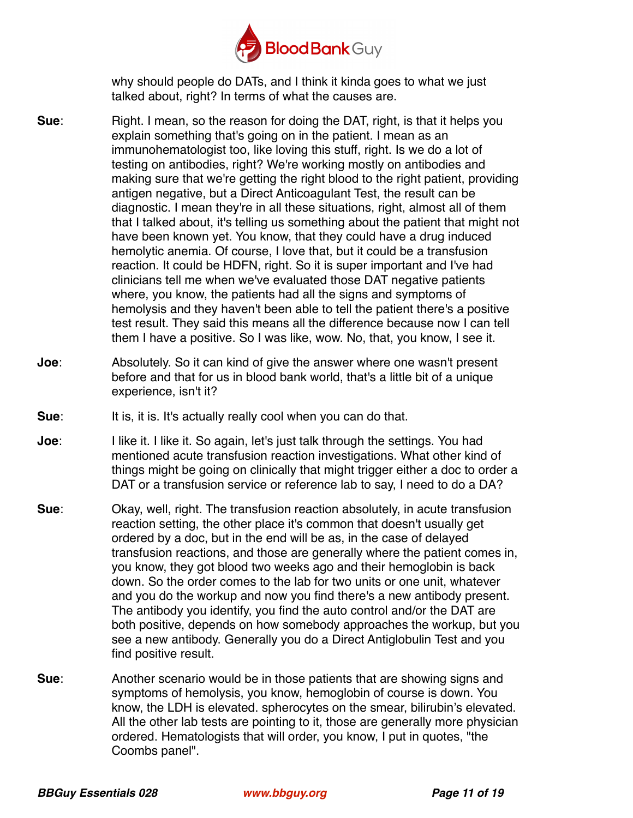

why should people do DATs, and I think it kinda goes to what we just talked about, right? In terms of what the causes are.

- **Sue**: Right. I mean, so the reason for doing the DAT, right, is that it helps you explain something that's going on in the patient. I mean as an immunohematologist too, like loving this stuff, right. Is we do a lot of testing on antibodies, right? We're working mostly on antibodies and making sure that we're getting the right blood to the right patient, providing antigen negative, but a Direct Anticoagulant Test, the result can be diagnostic. I mean they're in all these situations, right, almost all of them that I talked about, it's telling us something about the patient that might not have been known yet. You know, that they could have a drug induced hemolytic anemia. Of course, I love that, but it could be a transfusion reaction. It could be HDFN, right. So it is super important and I've had clinicians tell me when we've evaluated those DAT negative patients where, you know, the patients had all the signs and symptoms of hemolysis and they haven't been able to tell the patient there's a positive test result. They said this means all the difference because now I can tell them I have a positive. So I was like, wow. No, that, you know, I see it.
- **Joe**: Absolutely. So it can kind of give the answer where one wasn't present before and that for us in blood bank world, that's a little bit of a unique experience, isn't it?
- **Sue**: It is, it is. It's actually really cool when you can do that.
- **Joe**: I like it. I like it. So again, let's just talk through the settings. You had mentioned acute transfusion reaction investigations. What other kind of things might be going on clinically that might trigger either a doc to order a DAT or a transfusion service or reference lab to say, I need to do a DA?
- **Sue**: Okay, well, right. The transfusion reaction absolutely, in acute transfusion reaction setting, the other place it's common that doesn't usually get ordered by a doc, but in the end will be as, in the case of delayed transfusion reactions, and those are generally where the patient comes in, you know, they got blood two weeks ago and their hemoglobin is back down. So the order comes to the lab for two units or one unit, whatever and you do the workup and now you find there's a new antibody present. The antibody you identify, you find the auto control and/or the DAT are both positive, depends on how somebody approaches the workup, but you see a new antibody. Generally you do a Direct Antiglobulin Test and you find positive result.
- **Sue**: Another scenario would be in those patients that are showing signs and symptoms of hemolysis, you know, hemoglobin of course is down. You know, the LDH is elevated. spherocytes on the smear, bilirubin's elevated. All the other lab tests are pointing to it, those are generally more physician ordered. Hematologists that will order, you know, I put in quotes, "the Coombs panel".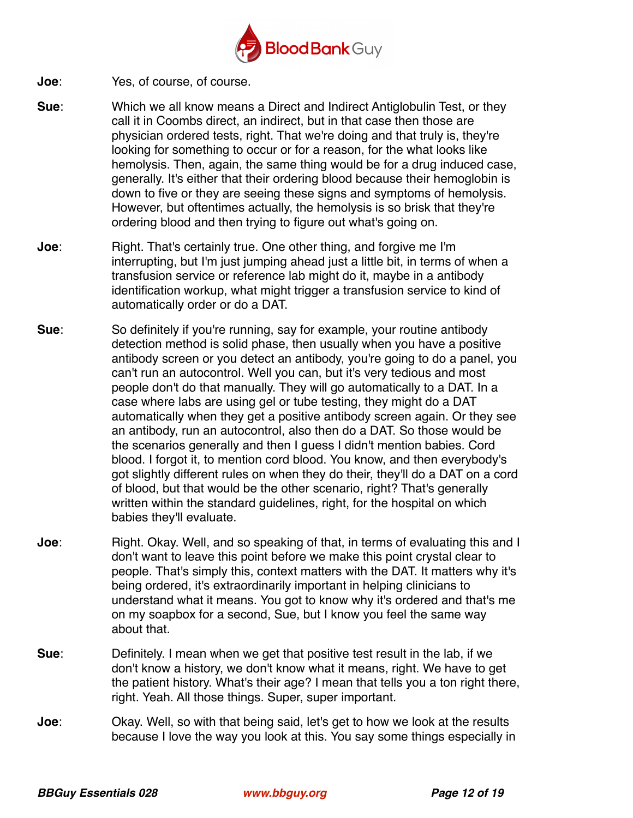

- **Joe**: Yes, of course, of course.
- **Sue**: Which we all know means a Direct and Indirect Antiglobulin Test, or they call it in Coombs direct, an indirect, but in that case then those are physician ordered tests, right. That we're doing and that truly is, they're looking for something to occur or for a reason, for the what looks like hemolysis. Then, again, the same thing would be for a drug induced case, generally. It's either that their ordering blood because their hemoglobin is down to five or they are seeing these signs and symptoms of hemolysis. However, but oftentimes actually, the hemolysis is so brisk that they're ordering blood and then trying to figure out what's going on.
- **Joe**: Right. That's certainly true. One other thing, and forgive me I'm interrupting, but I'm just jumping ahead just a little bit, in terms of when a transfusion service or reference lab might do it, maybe in a antibody identification workup, what might trigger a transfusion service to kind of automatically order or do a DAT.
- **Sue**: So definitely if you're running, say for example, your routine antibody detection method is solid phase, then usually when you have a positive antibody screen or you detect an antibody, you're going to do a panel, you can't run an autocontrol. Well you can, but it's very tedious and most people don't do that manually. They will go automatically to a DAT. In a case where labs are using gel or tube testing, they might do a DAT automatically when they get a positive antibody screen again. Or they see an antibody, run an autocontrol, also then do a DAT. So those would be the scenarios generally and then I guess I didn't mention babies. Cord blood. I forgot it, to mention cord blood. You know, and then everybody's got slightly different rules on when they do their, they'll do a DAT on a cord of blood, but that would be the other scenario, right? That's generally written within the standard guidelines, right, for the hospital on which babies they'll evaluate.
- **Joe**: Right. Okay. Well, and so speaking of that, in terms of evaluating this and I don't want to leave this point before we make this point crystal clear to people. That's simply this, context matters with the DAT. It matters why it's being ordered, it's extraordinarily important in helping clinicians to understand what it means. You got to know why it's ordered and that's me on my soapbox for a second, Sue, but I know you feel the same way about that.
- **Sue**: Definitely. I mean when we get that positive test result in the lab, if we don't know a history, we don't know what it means, right. We have to get the patient history. What's their age? I mean that tells you a ton right there, right. Yeah. All those things. Super, super important.
- **Joe**: Okay. Well, so with that being said, let's get to how we look at the results because I love the way you look at this. You say some things especially in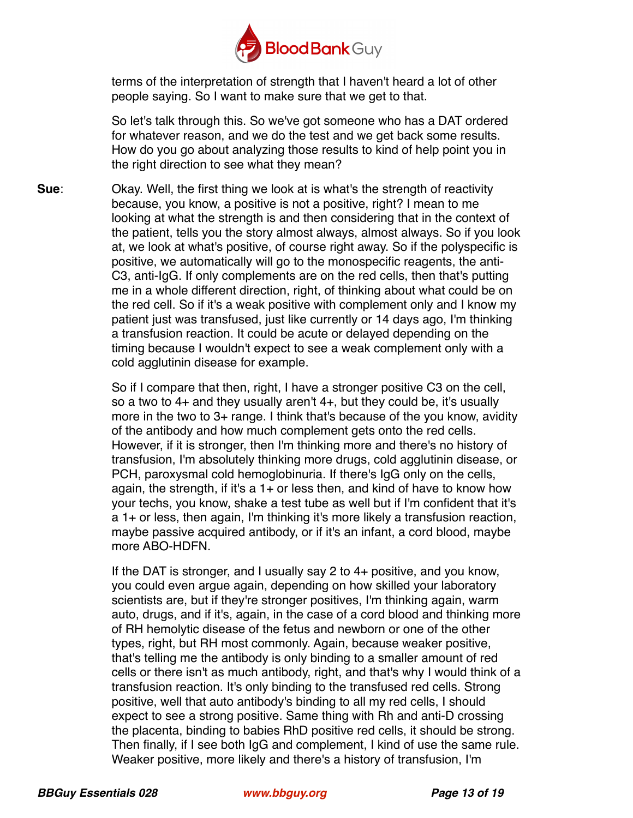

terms of the interpretation of strength that I haven't heard a lot of other people saying. So I want to make sure that we get to that.

So let's talk through this. So we've got someone who has a DAT ordered for whatever reason, and we do the test and we get back some results. How do you go about analyzing those results to kind of help point you in the right direction to see what they mean?

**Sue**: Okay. Well, the first thing we look at is what's the strength of reactivity because, you know, a positive is not a positive, right? I mean to me looking at what the strength is and then considering that in the context of the patient, tells you the story almost always, almost always. So if you look at, we look at what's positive, of course right away. So if the polyspecific is positive, we automatically will go to the monospecific reagents, the anti-C3, anti-IgG. If only complements are on the red cells, then that's putting me in a whole different direction, right, of thinking about what could be on the red cell. So if it's a weak positive with complement only and I know my patient just was transfused, just like currently or 14 days ago, I'm thinking a transfusion reaction. It could be acute or delayed depending on the timing because I wouldn't expect to see a weak complement only with a cold agglutinin disease for example.

> So if I compare that then, right, I have a stronger positive C3 on the cell, so a two to 4+ and they usually aren't 4+, but they could be, it's usually more in the two to 3+ range. I think that's because of the you know, avidity of the antibody and how much complement gets onto the red cells. However, if it is stronger, then I'm thinking more and there's no history of transfusion, I'm absolutely thinking more drugs, cold agglutinin disease, or PCH, paroxysmal cold hemoglobinuria. If there's IgG only on the cells, again, the strength, if it's a 1+ or less then, and kind of have to know how your techs, you know, shake a test tube as well but if I'm confident that it's a 1+ or less, then again, I'm thinking it's more likely a transfusion reaction, maybe passive acquired antibody, or if it's an infant, a cord blood, maybe more ABO-HDFN.

> If the DAT is stronger, and I usually say 2 to 4+ positive, and you know, you could even argue again, depending on how skilled your laboratory scientists are, but if they're stronger positives, I'm thinking again, warm auto, drugs, and if it's, again, in the case of a cord blood and thinking more of RH hemolytic disease of the fetus and newborn or one of the other types, right, but RH most commonly. Again, because weaker positive, that's telling me the antibody is only binding to a smaller amount of red cells or there isn't as much antibody, right, and that's why I would think of a transfusion reaction. It's only binding to the transfused red cells. Strong positive, well that auto antibody's binding to all my red cells, I should expect to see a strong positive. Same thing with Rh and anti-D crossing the placenta, binding to babies RhD positive red cells, it should be strong. Then finally, if I see both IgG and complement, I kind of use the same rule. Weaker positive, more likely and there's a history of transfusion, I'm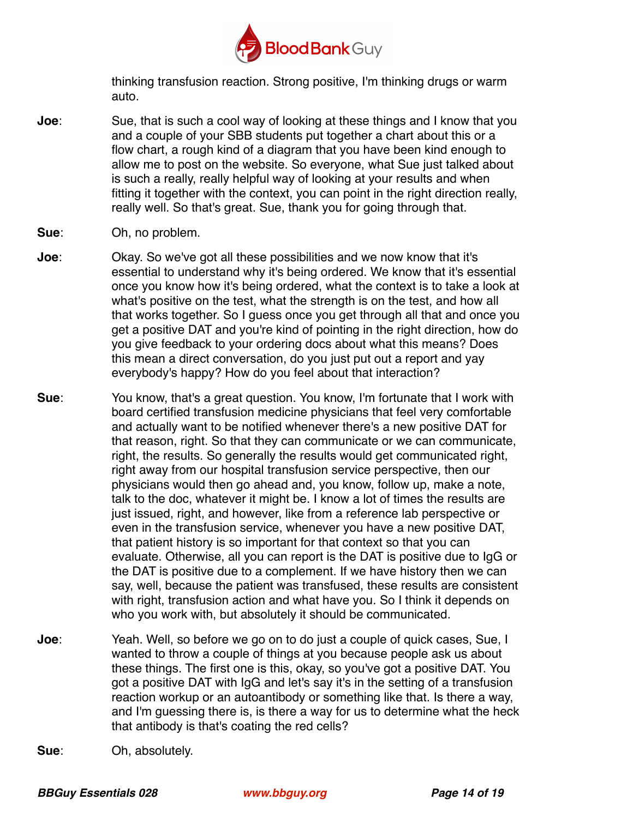

thinking transfusion reaction. Strong positive, I'm thinking drugs or warm auto.

- **Joe**: Sue, that is such a cool way of looking at these things and I know that you and a couple of your SBB students put together a chart about this or a flow chart, a rough kind of a diagram that you have been kind enough to allow me to post on the website. So everyone, what Sue just talked about is such a really, really helpful way of looking at your results and when fitting it together with the context, you can point in the right direction really, really well. So that's great. Sue, thank you for going through that.
- **Sue**: Oh, no problem.
- **Joe**: Okay. So we've got all these possibilities and we now know that it's essential to understand why it's being ordered. We know that it's essential once you know how it's being ordered, what the context is to take a look at what's positive on the test, what the strength is on the test, and how all that works together. So I guess once you get through all that and once you get a positive DAT and you're kind of pointing in the right direction, how do you give feedback to your ordering docs about what this means? Does this mean a direct conversation, do you just put out a report and yay everybody's happy? How do you feel about that interaction?
- **Sue**: You know, that's a great question. You know, I'm fortunate that I work with board certified transfusion medicine physicians that feel very comfortable and actually want to be notified whenever there's a new positive DAT for that reason, right. So that they can communicate or we can communicate, right, the results. So generally the results would get communicated right, right away from our hospital transfusion service perspective, then our physicians would then go ahead and, you know, follow up, make a note, talk to the doc, whatever it might be. I know a lot of times the results are just issued, right, and however, like from a reference lab perspective or even in the transfusion service, whenever you have a new positive DAT, that patient history is so important for that context so that you can evaluate. Otherwise, all you can report is the DAT is positive due to IgG or the DAT is positive due to a complement. If we have history then we can say, well, because the patient was transfused, these results are consistent with right, transfusion action and what have you. So I think it depends on who you work with, but absolutely it should be communicated.
- **Joe**: Yeah. Well, so before we go on to do just a couple of quick cases, Sue, I wanted to throw a couple of things at you because people ask us about these things. The first one is this, okay, so you've got a positive DAT. You got a positive DAT with IgG and let's say it's in the setting of a transfusion reaction workup or an autoantibody or something like that. Is there a way, and I'm guessing there is, is there a way for us to determine what the heck that antibody is that's coating the red cells?
- **Sue**: Oh, absolutely.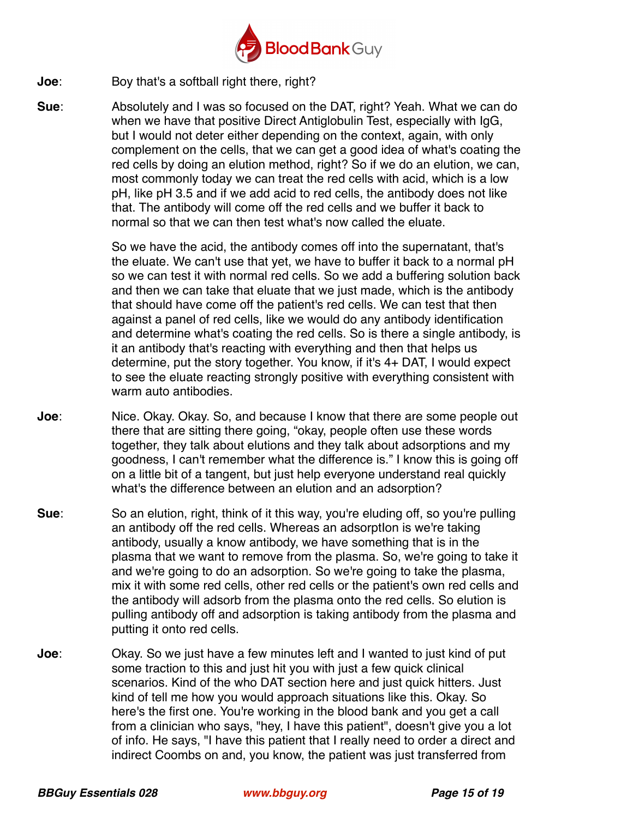

**Joe**: Boy that's a softball right there, right?

**Sue**: Absolutely and I was so focused on the DAT, right? Yeah. What we can do when we have that positive Direct Antiglobulin Test, especially with IgG, but I would not deter either depending on the context, again, with only complement on the cells, that we can get a good idea of what's coating the red cells by doing an elution method, right? So if we do an elution, we can, most commonly today we can treat the red cells with acid, which is a low pH, like pH 3.5 and if we add acid to red cells, the antibody does not like that. The antibody will come off the red cells and we buffer it back to normal so that we can then test what's now called the eluate.

> So we have the acid, the antibody comes off into the supernatant, that's the eluate. We can't use that yet, we have to buffer it back to a normal pH so we can test it with normal red cells. So we add a buffering solution back and then we can take that eluate that we just made, which is the antibody that should have come off the patient's red cells. We can test that then against a panel of red cells, like we would do any antibody identification and determine what's coating the red cells. So is there a single antibody, is it an antibody that's reacting with everything and then that helps us determine, put the story together. You know, if it's 4+ DAT, I would expect to see the eluate reacting strongly positive with everything consistent with warm auto antibodies.

- **Joe**: Nice. Okay. Okay. So, and because I know that there are some people out there that are sitting there going, "okay, people often use these words together, they talk about elutions and they talk about adsorptions and my goodness, I can't remember what the difference is." I know this is going off on a little bit of a tangent, but just help everyone understand real quickly what's the difference between an elution and an adsorption?
- **Sue**: So an elution, right, think of it this way, you're eluding off, so you're pulling an antibody off the red cells. Whereas an adsorption is we're taking antibody, usually a know antibody, we have something that is in the plasma that we want to remove from the plasma. So, we're going to take it and we're going to do an adsorption. So we're going to take the plasma, mix it with some red cells, other red cells or the patient's own red cells and the antibody will adsorb from the plasma onto the red cells. So elution is pulling antibody off and adsorption is taking antibody from the plasma and putting it onto red cells.
- **Joe**: Okay. So we just have a few minutes left and I wanted to just kind of put some traction to this and just hit you with just a few quick clinical scenarios. Kind of the who DAT section here and just quick hitters. Just kind of tell me how you would approach situations like this. Okay. So here's the first one. You're working in the blood bank and you get a call from a clinician who says, "hey, I have this patient", doesn't give you a lot of info. He says, "I have this patient that I really need to order a direct and indirect Coombs on and, you know, the patient was just transferred from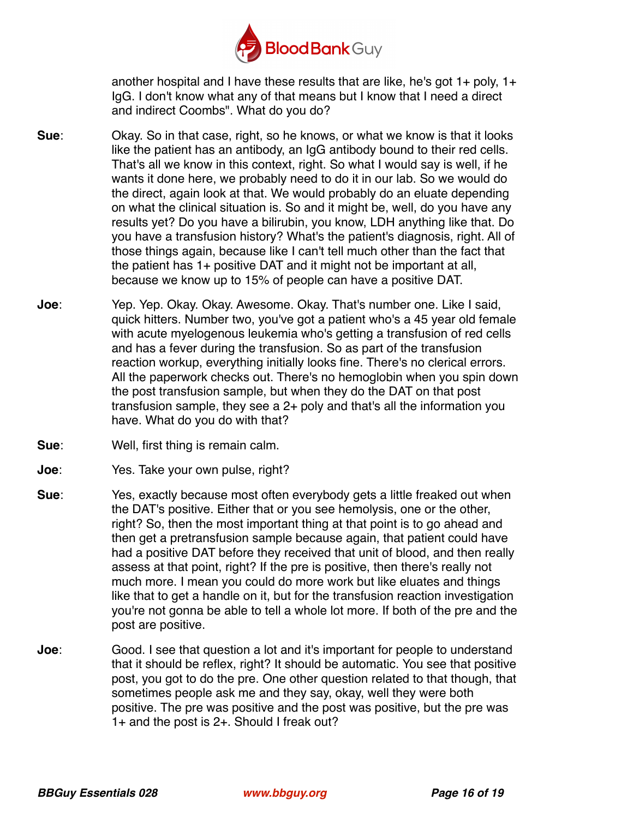

another hospital and I have these results that are like, he's got  $1+$  poly,  $1+$ IgG. I don't know what any of that means but I know that I need a direct and indirect Coombs". What do you do?

- **Sue**: Okay. So in that case, right, so he knows, or what we know is that it looks like the patient has an antibody, an IgG antibody bound to their red cells. That's all we know in this context, right. So what I would say is well, if he wants it done here, we probably need to do it in our lab. So we would do the direct, again look at that. We would probably do an eluate depending on what the clinical situation is. So and it might be, well, do you have any results yet? Do you have a bilirubin, you know, LDH anything like that. Do you have a transfusion history? What's the patient's diagnosis, right. All of those things again, because like I can't tell much other than the fact that the patient has 1+ positive DAT and it might not be important at all, because we know up to 15% of people can have a positive DAT.
- **Joe**: Yep. Yep. Okay. Okay. Awesome. Okay. That's number one. Like I said, quick hitters. Number two, you've got a patient who's a 45 year old female with acute myelogenous leukemia who's getting a transfusion of red cells and has a fever during the transfusion. So as part of the transfusion reaction workup, everything initially looks fine. There's no clerical errors. All the paperwork checks out. There's no hemoglobin when you spin down the post transfusion sample, but when they do the DAT on that post transfusion sample, they see a 2+ poly and that's all the information you have. What do you do with that?
- **Sue**: Well, first thing is remain calm.
- **Joe**: Yes. Take your own pulse, right?
- **Sue**: Yes, exactly because most often everybody gets a little freaked out when the DAT's positive. Either that or you see hemolysis, one or the other, right? So, then the most important thing at that point is to go ahead and then get a pretransfusion sample because again, that patient could have had a positive DAT before they received that unit of blood, and then really assess at that point, right? If the pre is positive, then there's really not much more. I mean you could do more work but like eluates and things like that to get a handle on it, but for the transfusion reaction investigation you're not gonna be able to tell a whole lot more. If both of the pre and the post are positive.
- **Joe**: Good. I see that question a lot and it's important for people to understand that it should be reflex, right? It should be automatic. You see that positive post, you got to do the pre. One other question related to that though, that sometimes people ask me and they say, okay, well they were both positive. The pre was positive and the post was positive, but the pre was 1+ and the post is 2+. Should I freak out?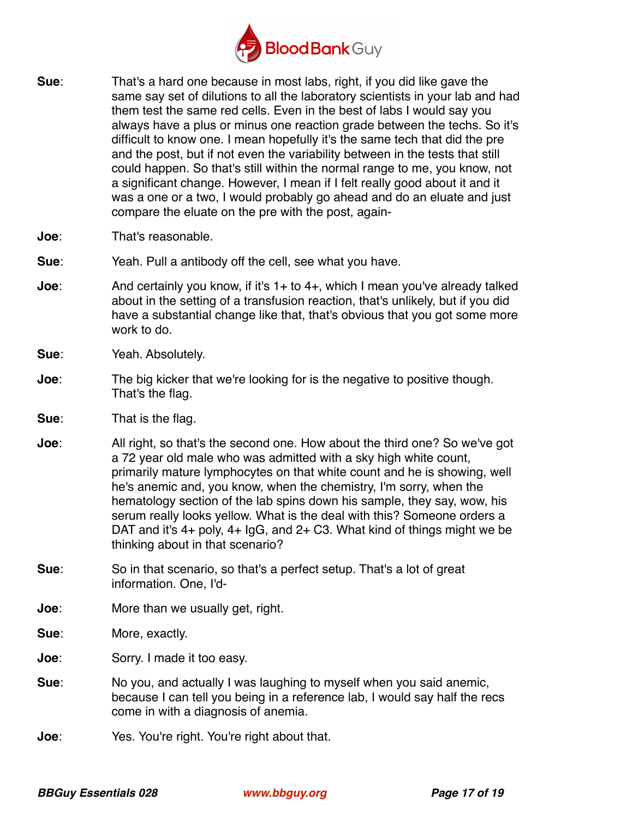

- **Sue**: That's a hard one because in most labs, right, if you did like gave the same say set of dilutions to all the laboratory scientists in your lab and had them test the same red cells. Even in the best of labs I would say you always have a plus or minus one reaction grade between the techs. So it's difficult to know one. I mean hopefully it's the same tech that did the pre and the post, but if not even the variability between in the tests that still could happen. So that's still within the normal range to me, you know, not a significant change. However, I mean if I felt really good about it and it was a one or a two, I would probably go ahead and do an eluate and just compare the eluate on the pre with the post, again-
- **Joe**: That's reasonable.
- **Sue**: Yeah. Pull a antibody off the cell, see what you have.
- **Joe**: And certainly you know, if it's 1+ to 4+, which I mean you've already talked about in the setting of a transfusion reaction, that's unlikely, but if you did have a substantial change like that, that's obvious that you got some more work to do.
- **Sue**: Yeah. Absolutely.
- **Joe**: The big kicker that we're looking for is the negative to positive though. That's the flag.
- **Sue**: That is the flag.
- **Joe**: All right, so that's the second one. How about the third one? So we've got a 72 year old male who was admitted with a sky high white count, primarily mature lymphocytes on that white count and he is showing, well he's anemic and, you know, when the chemistry, I'm sorry, when the hematology section of the lab spins down his sample, they say, wow, his serum really looks yellow. What is the deal with this? Someone orders a DAT and it's 4+ poly, 4+ IgG, and 2+ C3. What kind of things might we be thinking about in that scenario?
- **Sue**: So in that scenario, so that's a perfect setup. That's a lot of great information. One, I'd-
- **Joe:** More than we usually get, right.
- **Sue**: More, exactly.
- **Joe**: Sorry. I made it too easy.
- **Sue**: No you, and actually I was laughing to myself when you said anemic, because I can tell you being in a reference lab, I would say half the recs come in with a diagnosis of anemia.
- **Joe**: Yes. You're right. You're right about that.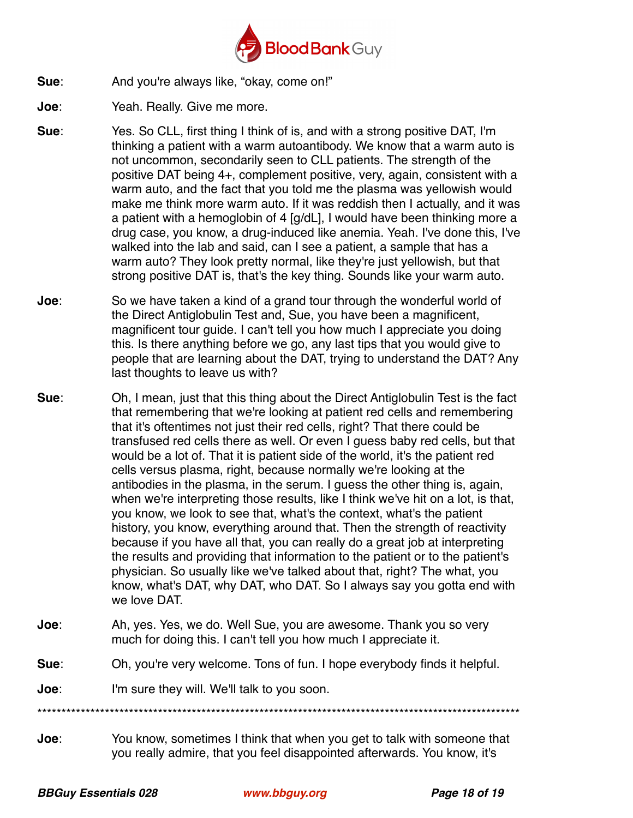

- **Sue**: And you're always like, "okay, come on!"
- **Joe**: Yeah. Really. Give me more.
- **Sue**: Yes. So CLL, first thing I think of is, and with a strong positive DAT, I'm thinking a patient with a warm autoantibody. We know that a warm auto is not uncommon, secondarily seen to CLL patients. The strength of the positive DAT being 4+, complement positive, very, again, consistent with a warm auto, and the fact that you told me the plasma was yellowish would make me think more warm auto. If it was reddish then I actually, and it was a patient with a hemoglobin of 4 [g/dL], I would have been thinking more a drug case, you know, a drug-induced like anemia. Yeah. I've done this, I've walked into the lab and said, can I see a patient, a sample that has a warm auto? They look pretty normal, like they're just yellowish, but that strong positive DAT is, that's the key thing. Sounds like your warm auto.
- **Joe**: So we have taken a kind of a grand tour through the wonderful world of the Direct Antiglobulin Test and, Sue, you have been a magnificent, magnificent tour guide. I can't tell you how much I appreciate you doing this. Is there anything before we go, any last tips that you would give to people that are learning about the DAT, trying to understand the DAT? Any last thoughts to leave us with?
- **Sue**: Oh, I mean, just that this thing about the Direct Antiglobulin Test is the fact that remembering that we're looking at patient red cells and remembering that it's oftentimes not just their red cells, right? That there could be transfused red cells there as well. Or even I guess baby red cells, but that would be a lot of. That it is patient side of the world, it's the patient red cells versus plasma, right, because normally we're looking at the antibodies in the plasma, in the serum. I guess the other thing is, again, when we're interpreting those results, like I think we've hit on a lot, is that, you know, we look to see that, what's the context, what's the patient history, you know, everything around that. Then the strength of reactivity because if you have all that, you can really do a great job at interpreting the results and providing that information to the patient or to the patient's physician. So usually like we've talked about that, right? The what, you know, what's DAT, why DAT, who DAT. So I always say you gotta end with we love DAT.
- **Joe**: Ah, yes. Yes, we do. Well Sue, you are awesome. Thank you so very much for doing this. I can't tell you how much I appreciate it.
- **Sue**: Oh, you're very welcome. Tons of fun. I hope everybody finds it helpful.
- **Joe**: I'm sure they will. We'll talk to you soon.

\*\*\*\*\*\*\*\*\*\*\*\*\*\*\*\*\*\*\*\*\*\*\*\*\*\*\*\*\*\*\*\*\*\*\*\*\*\*\*\*\*\*\*\*\*\*\*\*\*\*\*\*\*\*\*\*\*\*\*\*\*\*\*\*\*\*\*\*\*\*\*\*\*\*\*\*\*\*\*\*\*\*\*\*\*\*\*\*\*\*\*\*\*\*\*\*\*\*\*\*

**Joe**: You know, sometimes I think that when you get to talk with someone that you really admire, that you feel disappointed afterwards. You know, it's